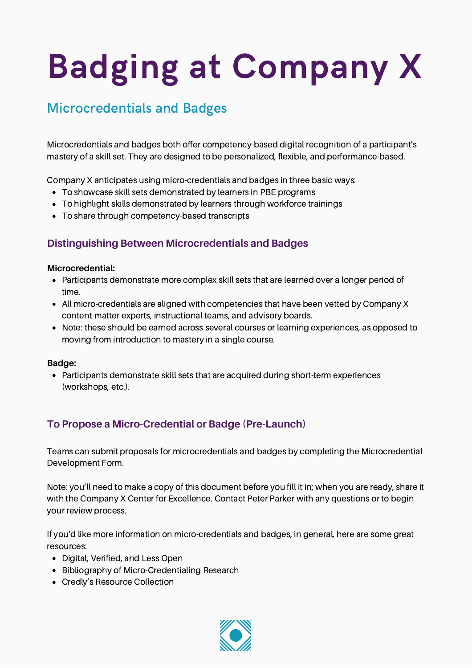# Badging at Company X

## Microcredentials and Badges

Microcredentials and badges both offer competency-based digital recognition of a participant's mastery of a skill set. They are designed to be personalized, flexible, and performance-based.

Company X anticipates using micro-credentials and badges in three basic ways:

- To showcase skill sets demonstrated by learners in PBE programs
- To highlight skills demonstrated by learners through workforce trainings
- To share through competency-based transcripts

## **Distinguishing Between Microcredentials and Badges**

### **Microcredential:**

- Participants demonstrate more complex skill sets that are learned over a longer period of time.
- All micro-credentials are aligned with competencies that have been vetted by Company X content-matter experts, instructional teams, and advisory boards.
- Note: these should be earned across several courses or learning experiences, as opposed to moving from introduction to mastery in a single course.

#### **Badge:**

Participants demonstrate skill sets that are acquired during short-term experiences (workshops, etc.).

## **To Propose a Micro-Credential or Badge (Pre-Launch)**

Teams can submit proposals for [microcredentials](https://docs.google.com/document/d/1Z7KolSjUx4SlIEEur_m58rn2kUnGcu_ufOGQeTItyI8/edit?usp=sharing) and badges by completing the Microcredential Development Form.

Note: you'll need to make a copy of this document before you fill it in; when you are ready, share it with the Company X Center for Excellence. Contact Peter Parker with any questions or to begin your review process.

If you'd like more information on micro-credentials and badges, in general, here are some great resources:

- Digital, [Verified,](https://www.insidehighered.com/news/2016/08/09/digital-badging-spreads-more-colleges-use-vendors-create-alternative-credentials) and Less Open
- Bibliography of [Micro-Credentialing](https://system.suny.edu/media/suny/content-assets/documents/academic-affairs/microcredentials/Bibliography-of-Research-Micro-Credentials.docx) Research
- Credly's Resource [Collection](https://learn.credly.com/)

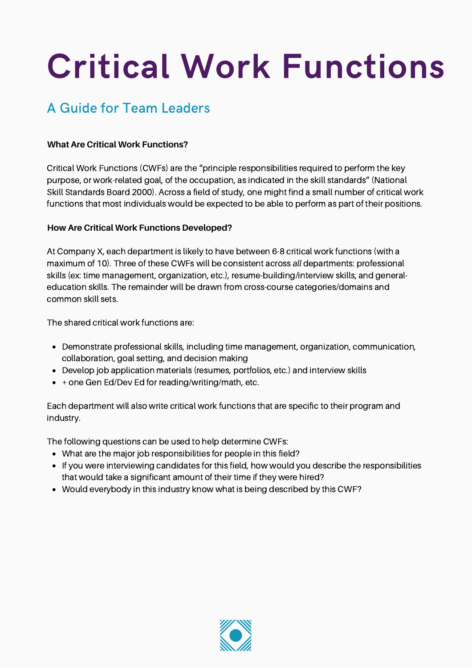# Critical Work Functions

# A Guide for Team Leaders

## **What Are Critical Work Functions?**

Critical Work Functions (CWFs) are the "principle responsibilities required to perform the key purpose, or work-related goal, of the occupation, as indicated in the skill standards" (National Skill Standards Board 2000). Across a field of study, one might find a small number of critical work functions that most individuals would be expected to be able to perform as part of their positions.

## **How Are Critical Work Functions Developed?**

At Company X, each department is likely to have between 6-8 critical work functions (with a maximum of 10). Three of these CWFs will be consistent across *all* departments: professional skills (ex: time management, organization, etc.), resume-building/interview skills, and generaleducation skills. The remainder will be drawn from cross-course categories/domains and common skill sets.

The shared critical work functions are:

- Demonstrate professional skills, including time management, organization, communication, collaboration, goal setting, and decision making
- Develop job application materials (resumes, portfolios, etc.) and interview skills
- + one Gen Ed/Dev Ed for reading/writing/math, etc.

Each department will also write critical work functions that are specific to their program and industry.

The following questions can be used to help determine CWFs:

- What are the major job responsibilities for people in this field?
- If you were interviewing candidates for this field, how would you describe the responsibilities that would take a significant amount of their time if they were hired?
- Would everybody in this industry know what is being described by this CWF?

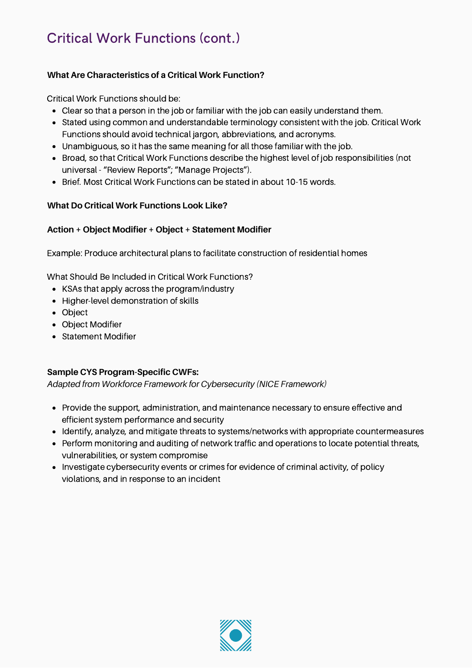# Critical Work Functions (cont.)

### **What Are Characteristics of a Critical Work Function?**

Critical Work Functions should be:

- Clear so that a person in the job or familiar with the job can easily understand them.
- Stated using common and understandable terminology consistent with the job. Critical Work Functions should avoid technical jargon, abbreviations, and acronyms.
- Unambiguous, so it has the same meaning for all those familiar with the job.
- Broad, so that Critical Work Functions describe the highest level of job responsibilities (not universal - "Review Reports"; "Manage Projects").
- Brief. Most Critical Work Functions can be stated in about 10-15 words.

## **What Do Critical Work Functions Look Like?**

### **Action + Object Modifier + Object + Statement Modifier**

Example: Produce architectural plans to facilitate construction of residential homes

What Should Be Included in Critical Work Functions?

- KSAs that apply across the program/industry
- Higher-level demonstration of skills
- Object
- Object Modifier
- Statement Modifier

## **Sample CYS Program-Specific CWFs:**

*Adapted from Workforce Framework for Cybersecurity (NICE Framework)*

- Provide the support, administration, and maintenance necessary to ensure effective and efficient system performance and security
- Identify, analyze, and mitigate threats to systems/networks with appropriate countermeasures
- Perform monitoring and auditing of network traffic and operations to locate potential threats, vulnerabilities, or system compromise
- Investigate cybersecurity events or crimes for evidence of criminal activity, of policy violations, and in response to an incident